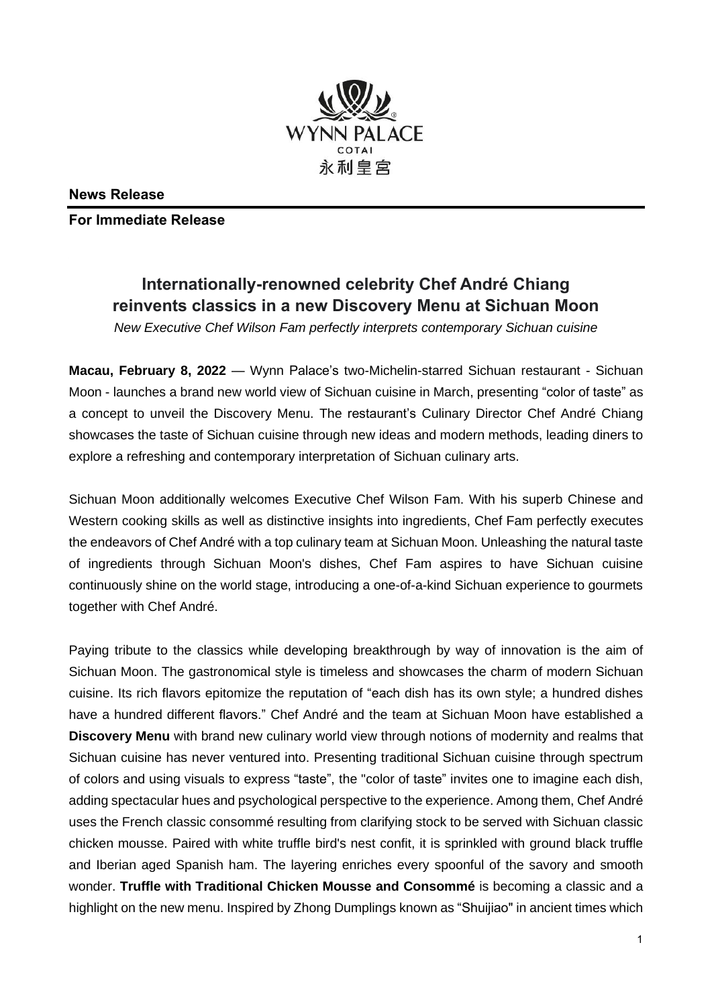

**News Release**

**For Immediate Release** 

## **Internationally-renowned celebrity Chef André Chiang reinvents classics in a new Discovery Menu at Sichuan Moon**

*New Executive Chef Wilson Fam perfectly interprets contemporary Sichuan cuisine*

**Macau, February 8, 2022** — Wynn Palace's two-Michelin-starred Sichuan restaurant - Sichuan Moon - launches a brand new world view of Sichuan cuisine in March, presenting "color of taste" as a concept to unveil the Discovery Menu. The restaurant's Culinary Director Chef André Chiang showcases the taste of Sichuan cuisine through new ideas and modern methods, leading diners to explore a refreshing and contemporary interpretation of Sichuan culinary arts.

Sichuan Moon additionally welcomes Executive Chef Wilson Fam. With his superb Chinese and Western cooking skills as well as distinctive insights into ingredients, Chef Fam perfectly executes the endeavors of Chef André with a top culinary team at Sichuan Moon. Unleashing the natural taste of ingredients through Sichuan Moon's dishes, Chef Fam aspires to have Sichuan cuisine continuously shine on the world stage, introducing a one-of-a-kind Sichuan experience to gourmets together with Chef André.

Paying tribute to the classics while developing breakthrough by way of innovation is the aim of Sichuan Moon. The gastronomical style is timeless and showcases the charm of modern Sichuan cuisine. Its rich flavors epitomize the reputation of "each dish has its own style; a hundred dishes have a hundred different flavors." Chef André and the team at Sichuan Moon have established a **Discovery Menu** with brand new culinary world view through notions of modernity and realms that Sichuan cuisine has never ventured into. Presenting traditional Sichuan cuisine through spectrum of colors and using visuals to express "taste", the "color of taste" invites one to imagine each dish, adding spectacular hues and psychological perspective to the experience. Among them, Chef André uses the French classic consommé resulting from clarifying stock to be served with Sichuan classic chicken mousse. Paired with white truffle bird's nest confit, it is sprinkled with ground black truffle and Iberian aged Spanish ham. The layering enriches every spoonful of the savory and smooth wonder. **Truffle with Traditional Chicken Mousse and Consommé** is becoming a classic and a highlight on the new menu. Inspired by Zhong Dumplings known as "Shuijiao" in ancient times which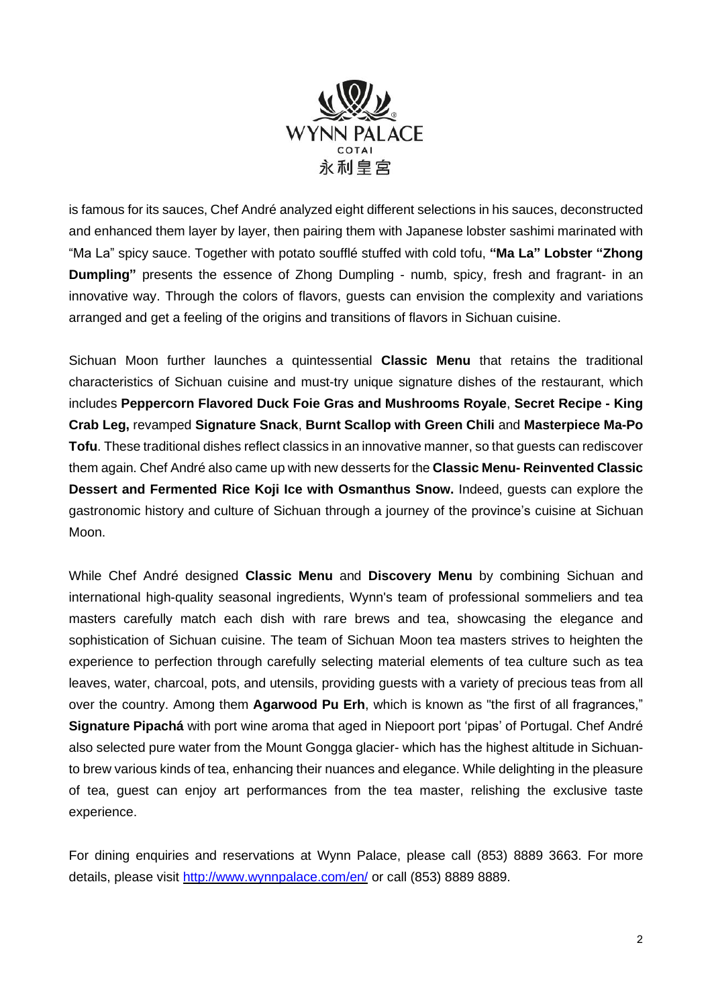

is famous for its sauces, Chef André analyzed eight different selections in his sauces, deconstructed and enhanced them layer by layer, then pairing them with Japanese lobster sashimi marinated with "Ma La" spicy sauce. Together with potato soufflé stuffed with cold tofu, **"Ma La" Lobster "Zhong Dumpling"** presents the essence of Zhong Dumpling - numb, spicy, fresh and fragrant- in an innovative way. Through the colors of flavors, guests can envision the complexity and variations arranged and get a feeling of the origins and transitions of flavors in Sichuan cuisine.

Sichuan Moon further launches a quintessential **Classic Menu** that retains the traditional characteristics of Sichuan cuisine and must-try unique signature dishes of the restaurant, which includes **Peppercorn Flavored Duck Foie Gras and Mushrooms Royale**, **Secret Recipe - King Crab Leg,** revamped **Signature Snack**, **Burnt Scallop with Green Chili** and **Masterpiece Ma-Po Tofu**. These traditional dishes reflect classics in an innovative manner, so that guests can rediscover them again. Chef André also came up with new desserts for the **Classic Menu- Reinvented Classic Dessert and Fermented Rice Koji Ice with Osmanthus Snow.** Indeed, guests can explore the gastronomic history and culture of Sichuan through a journey of the province's cuisine at Sichuan Moon.

While Chef André designed **Classic Menu** and **Discovery Menu** by combining Sichuan and international high-quality seasonal ingredients, Wynn's team of professional sommeliers and tea masters carefully match each dish with rare brews and tea, showcasing the elegance and sophistication of Sichuan cuisine. The team of Sichuan Moon tea masters strives to heighten the experience to perfection through carefully selecting material elements of tea culture such as tea leaves, water, charcoal, pots, and utensils, providing guests with a variety of precious teas from all over the country. Among them **Agarwood Pu Erh**, which is known as "the first of all fragrances," **Signature Pipachá** with port wine aroma that aged in Niepoort port 'pipas' of Portugal. Chef André also selected pure water from the Mount Gongga glacier- which has the highest altitude in Sichuanto brew various kinds of tea, enhancing their nuances and elegance. While delighting in the pleasure of tea, guest can enjoy art performances from the tea master, relishing the exclusive taste experience.

For dining enquiries and reservations at Wynn Palace, please call (853) 8889 3663. For more details, please visit <http://www.wynnpalace.com/en/> or call (853) 8889 8889.